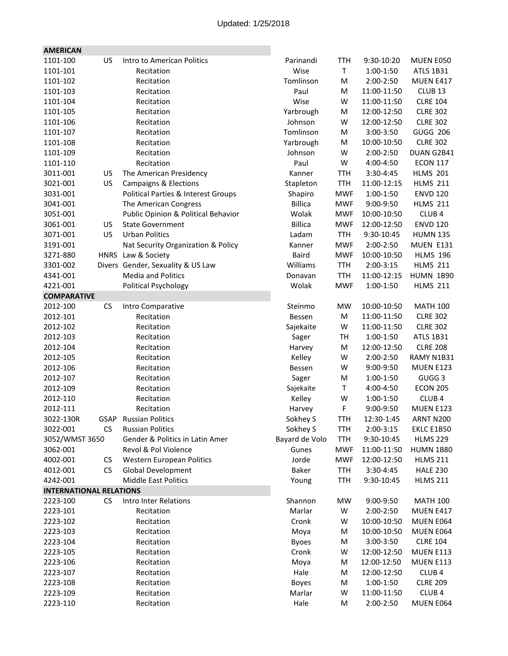| <b>AMERICAN</b>                |             |                                     |                |            |             |                    |
|--------------------------------|-------------|-------------------------------------|----------------|------------|-------------|--------------------|
| 1101-100                       | US          | Intro to American Politics          | Parinandi      | <b>TTH</b> | 9:30-10:20  | MUEN E050          |
| 1101-101                       |             | Recitation                          | Wise           | T          | 1:00-1:50   | <b>ATLS 1B31</b>   |
| 1101-102                       |             | Recitation                          | Tomlinson      | M          | 2:00-2:50   | MUEN E417          |
| 1101-103                       |             | Recitation                          | Paul           | M          | 11:00-11:50 | CLUB <sub>13</sub> |
| 1101-104                       |             | Recitation                          | Wise           | W          | 11:00-11:50 | <b>CLRE 104</b>    |
| 1101-105                       |             | Recitation                          | Yarbrough      | M          | 12:00-12:50 | <b>CLRE 302</b>    |
| 1101-106                       |             | Recitation                          | Johnson        | W          | 12:00-12:50 | <b>CLRE 302</b>    |
| 1101-107                       |             | Recitation                          | Tomlinson      | М          | 3:00-3:50   | <b>GUGG 206</b>    |
| 1101-108                       |             | Recitation                          | Yarbrough      | M          | 10:00-10:50 | <b>CLRE 302</b>    |
| 1101-109                       |             | Recitation                          | Johnson        | W          | 2:00-2:50   | DUAN G2B41         |
| 1101-110                       |             | Recitation                          | Paul           | W          | 4:00-4:50   | <b>ECON 117</b>    |
| 3011-001                       | US          | The American Presidency             | Kanner         | <b>TTH</b> | 3:30-4:45   | <b>HLMS 201</b>    |
| 3021-001                       | US          | <b>Campaigns &amp; Elections</b>    | Stapleton      | <b>TTH</b> | 11:00-12:15 | <b>HLMS 211</b>    |
| 3031-001                       |             | Political Parties & Interest Groups | Shapiro        | <b>MWF</b> | 1:00-1:50   | <b>ENVD 120</b>    |
| 3041-001                       |             | The American Congress               | <b>Billica</b> | <b>MWF</b> | 9:00-9:50   | <b>HLMS 211</b>    |
| 3051-001                       |             | Public Opinion & Political Behavior | Wolak          | <b>MWF</b> | 10:00-10:50 | CLUB <sub>4</sub>  |
| 3061-001                       | US          | <b>State Government</b>             | <b>Billica</b> | <b>MWF</b> | 12:00-12:50 | <b>ENVD 120</b>    |
| 3071-001                       | US          | <b>Urban Politics</b>               | Ladam          | <b>TTH</b> | 9:30-10:45  | <b>HUMN 135</b>    |
| 3191-001                       |             | Nat Security Organization & Policy  | Kanner         | <b>MWF</b> | 2:00-2:50   | MUEN E131          |
| 3271-880                       | <b>HNRS</b> | Law & Society                       | <b>Baird</b>   | <b>MWF</b> | 10:00-10:50 | <b>HLMS 196</b>    |
| 3301-002                       |             | Divers Gender, Sexuality & US Law   | Williams       | <b>TTH</b> | 2:00-3:15   | <b>HLMS 211</b>    |
| 4341-001                       |             | <b>Media and Politics</b>           | Donavan        | <b>TTH</b> | 11:00-12:15 | <b>HUMN 1B90</b>   |
| 4221-001                       |             | <b>Political Psychology</b>         | Wolak          | <b>MWF</b> | 1:00-1:50   | <b>HLMS 211</b>    |
| <b>COMPARATIVE</b>             |             |                                     |                |            |             |                    |
| 2012-100                       | <b>CS</b>   | Intro Comparative                   | Steinmo        | <b>MW</b>  | 10:00-10:50 | <b>MATH 100</b>    |
| 2012-101                       |             | Recitation                          | Bessen         | М          | 11:00-11:50 | <b>CLRE 302</b>    |
| 2012-102                       |             | Recitation                          | Sajekaite      | W          | 11:00-11:50 | <b>CLRE 302</b>    |
| 2012-103                       |             | Recitation                          | Sager          | TH         | 1:00-1:50   | <b>ATLS 1B31</b>   |
| 2012-104                       |             | Recitation                          | Harvey         | M          | 12:00-12:50 | <b>CLRE 208</b>    |
| 2012-105                       |             | Recitation                          | Kelley         | W          | 2:00-2:50   | RAMY N1B31         |
| 2012-106                       |             | Recitation                          | <b>Bessen</b>  | W          | 9:00-9:50   | <b>MUEN E123</b>   |
| 2012-107                       |             | Recitation                          | Sager          | M          | 1:00-1:50   | GUGG <sub>3</sub>  |
| 2012-109                       |             | Recitation                          | Sajekaite      | Τ          | 4:00-4:50   | <b>ECON 205</b>    |
| 2012-110                       |             | Recitation                          | Kelley         | W          | 1:00-1:50   | CLUB <sub>4</sub>  |
| 2012-111                       |             | Recitation                          | Harvey         | F          | 9:00-9:50   | <b>MUEN E123</b>   |
| 3022-130R                      | GSAP        | <b>Russian Politics</b>             | Sokhey S       | TTH        | 12:30-1:45  | ARNT N200          |
| 3022-001                       | <b>CS</b>   | <b>Russian Politics</b>             | Sokhey S       | <b>TTH</b> | 2:00-3:15   | EKLC E1B50         |
| 3052/WMST 3650                 |             | Gender & Politics in Latin Amer     | Bayard de Volo | <b>TTH</b> | 9:30-10:45  | <b>HLMS 229</b>    |
| 3062-001                       |             | Revol & Pol Violence                | Gunes          | <b>MWF</b> | 11:00-11:50 | <b>HUMN 1B80</b>   |
| 4002-001                       | <b>CS</b>   | Western European Politics           | Jorde          | <b>MWF</b> | 12:00-12:50 | <b>HLMS 211</b>    |
| 4012-001                       | <b>CS</b>   | <b>Global Development</b>           | Baker          | <b>TTH</b> | 3:30-4:45   | <b>HALE 230</b>    |
| 4242-001                       |             | <b>Middle East Politics</b>         | Young          | TTH        | 9:30-10:45  | <b>HLMS 211</b>    |
| <b>INTERNATIONAL RELATIONS</b> |             |                                     |                |            |             |                    |
| 2223-100                       | <b>CS</b>   | Intro Inter Relations               | Shannon        | <b>MW</b>  | 9:00-9:50   | <b>MATH 100</b>    |
| 2223-101                       |             | Recitation                          | Marlar         | W          | 2:00-2:50   | MUEN E417          |
| 2223-102                       |             | Recitation                          | Cronk          | W          | 10:00-10:50 | MUEN E064          |
| 2223-103                       |             | Recitation                          | Moya           | M          | 10:00-10:50 | MUEN E064          |
| 2223-104                       |             | Recitation                          | <b>Byoes</b>   | М          | 3:00-3:50   | <b>CLRE 104</b>    |
| 2223-105                       |             | Recitation                          | Cronk          | W          | 12:00-12:50 | MUEN E113          |
| 2223-106                       |             | Recitation                          | Moya           | M          | 12:00-12:50 | <b>MUEN E113</b>   |
| 2223-107                       |             | Recitation                          | Hale           | М          | 12:00-12:50 | CLUB <sub>4</sub>  |
| 2223-108                       |             | Recitation                          | <b>Boyes</b>   | М          | 1:00-1:50   | <b>CLRE 209</b>    |
| 2223-109                       |             | Recitation                          | Marlar         | W          | 11:00-11:50 | CLUB <sub>4</sub>  |
| 2223-110                       |             | Recitation                          | Hale           | M          | 2:00-2:50   | MUEN E064          |
|                                |             |                                     |                |            |             |                    |